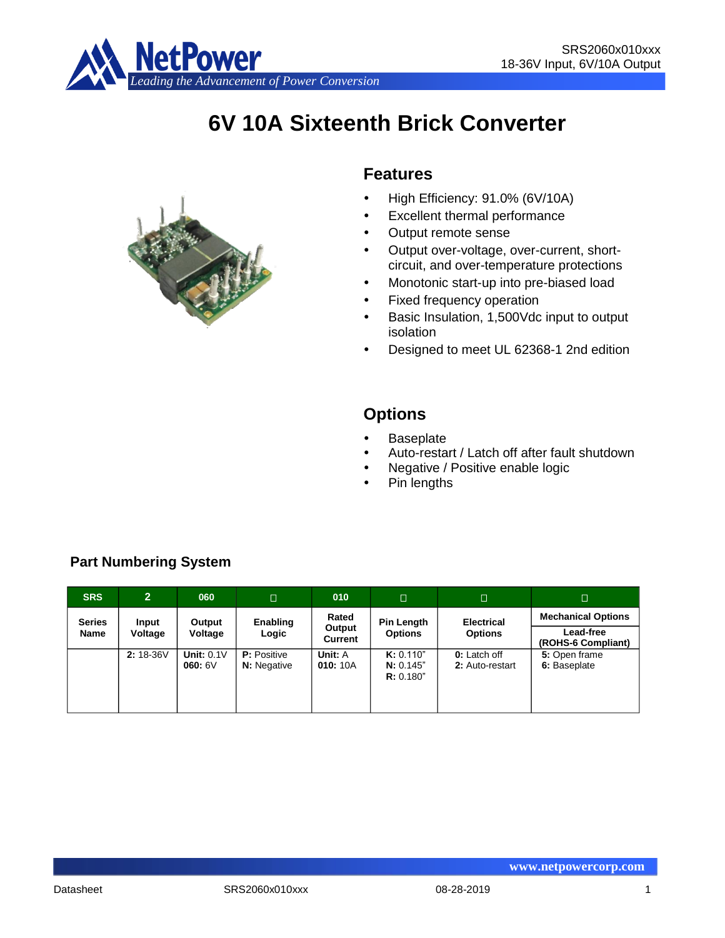

# **6V 10A Sixteenth Brick Converter**



## **Features**

- High Efficiency: 91.0% (6V/10A)
- Excellent thermal performance
- Output remote sense
- Output over-voltage, over-current, shortcircuit, and over-temperature protections
- Monotonic start-up into pre-biased load
- Fixed frequency operation
- Basic Insulation, 1,500Vdc input to output isolation
- Designed to meet UL 62368-1 2nd edition

# **Options**

- **Baseplate**
- Auto-restart / Latch off after fault shutdown
- Negative / Positive enable logic
- Pin lengths

| <b>SRS</b>    | $\overline{2}$ | 060                         | $\Box$                                   | 010                      | $\Box$                              | $\Box$                                            | $\Box$                        |
|---------------|----------------|-----------------------------|------------------------------------------|--------------------------|-------------------------------------|---------------------------------------------------|-------------------------------|
| <b>Series</b> | Input          | Output                      | Enabling                                 | Rated                    | Pin Length                          | <b>Electrical</b>                                 | <b>Mechanical Options</b>     |
| <b>Name</b>   | Voltage        | Voltage                     | Logic                                    | Output<br><b>Current</b> | <b>Options</b>                      | Lead-free<br><b>Options</b><br>(ROHS-6 Compliant) |                               |
|               | $2:18-36V$     | <b>Unit: 0.1V</b><br>060:6V | <b>P:</b> Positive<br><b>N:</b> Negative | Unit: A<br>010:10A       | K: 0.110"<br>N: 0.145"<br>R: 0.180" | <b>0:</b> Latch off<br>2: Auto-restart            | 5: Open frame<br>6: Baseplate |

## **Part Numbering System**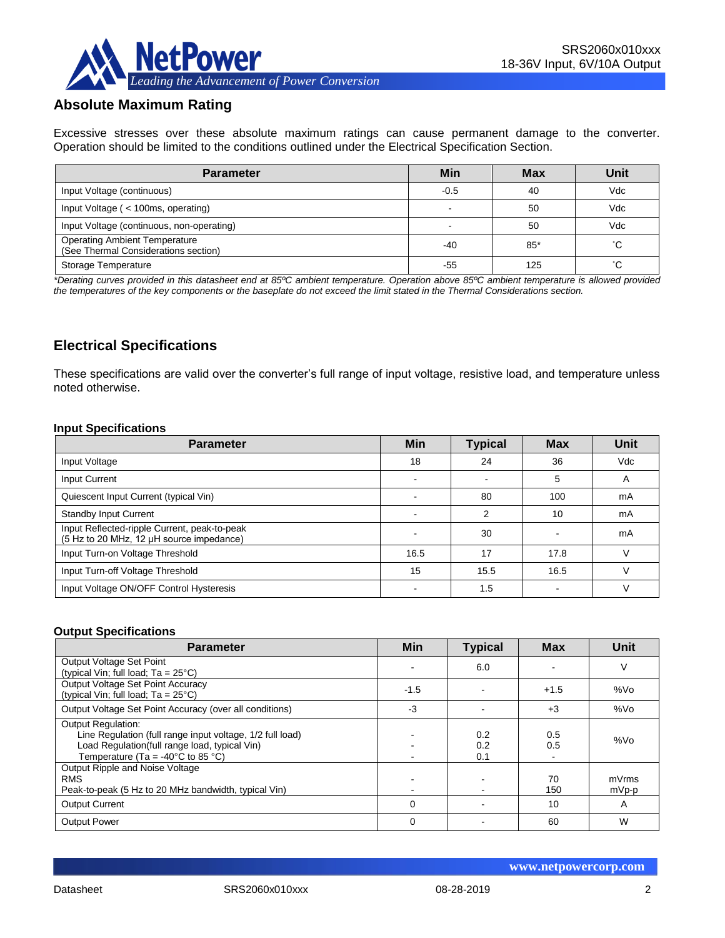

## **Absolute Maximum Rating**

Excessive stresses over these absolute maximum ratings can cause permanent damage to the converter. Operation should be limited to the conditions outlined under the Electrical Specification Section.

| <b>Parameter</b>                                                             | Min    | <b>Max</b> | Unit |
|------------------------------------------------------------------------------|--------|------------|------|
| Input Voltage (continuous)                                                   | $-0.5$ | 40         | Vdc  |
| Input Voltage ( < 100ms, operating)                                          |        | 50         | Vdc  |
| Input Voltage (continuous, non-operating)                                    |        | 50         | Vdc  |
| <b>Operating Ambient Temperature</b><br>(See Thermal Considerations section) | -40    | $85*$      | °С   |
| Storage Temperature                                                          | -55    | 125        | °С   |

*\*Derating curves provided in this datasheet end at 85ºC ambient temperature. Operation above 85ºC ambient temperature is allowed provided the temperatures of the key components or the baseplate do not exceed the limit stated in the Thermal Considerations section.*

## **Electrical Specifications**

These specifications are valid over the converter's full range of input voltage, resistive load, and temperature unless noted otherwise.

#### **Input Specifications**

| <b>Parameter</b>                                                                         | <b>Min</b>               | <b>Typical</b> | <b>Max</b> | Unit       |
|------------------------------------------------------------------------------------------|--------------------------|----------------|------------|------------|
| Input Voltage                                                                            | 18                       | 24             | 36         | <b>Vdc</b> |
| Input Current                                                                            | $\overline{\phantom{0}}$ |                | 5          | A          |
| Quiescent Input Current (typical Vin)                                                    |                          | 80             | 100        | mA         |
| <b>Standby Input Current</b>                                                             |                          | ⌒              | 10         | mA         |
| Input Reflected-ripple Current, peak-to-peak<br>(5 Hz to 20 MHz, 12 µH source impedance) |                          | 30             |            | mA         |
| Input Turn-on Voltage Threshold                                                          | 16.5                     | 17             | 17.8       |            |
| Input Turn-off Voltage Threshold                                                         | 15                       | 15.5           | 16.5       |            |
| Input Voltage ON/OFF Control Hysteresis                                                  |                          | 1.5            |            |            |

#### **Output Specifications**

| <b>Parameter</b>                                                                                                                                                                                  | <b>Min</b> | <b>Typical</b>    | <b>Max</b> | Unit            |
|---------------------------------------------------------------------------------------------------------------------------------------------------------------------------------------------------|------------|-------------------|------------|-----------------|
| Output Voltage Set Point<br>(typical Vin; full load; $Ta = 25^{\circ}C$ )                                                                                                                         |            | 6.0               |            | V               |
| Output Voltage Set Point Accuracy<br>(typical Vin; full load; $Ta = 25^{\circ}C$ )                                                                                                                | $-1.5$     |                   | $+1.5$     | %V <sub>O</sub> |
| Output Voltage Set Point Accuracy (over all conditions)                                                                                                                                           | $-3$       |                   | $+3$       | %Vo             |
| <b>Output Regulation:</b><br>Line Regulation (full range input voltage, 1/2 full load)<br>Load Regulation(full range load, typical Vin)<br>Temperature (Ta = -40 $^{\circ}$ C to 85 $^{\circ}$ C) |            | 0.2<br>0.2<br>0.1 | 0.5<br>0.5 | %Vo             |
| Output Ripple and Noise Voltage<br><b>RMS</b><br>Peak-to-peak (5 Hz to 20 MHz bandwidth, typical Vin)                                                                                             |            |                   | 70<br>150  | mVrms<br>mVp-p  |
| <b>Output Current</b>                                                                                                                                                                             | $\Omega$   |                   | 10         | A               |
| <b>Output Power</b>                                                                                                                                                                               | $\Omega$   |                   | 60         | W               |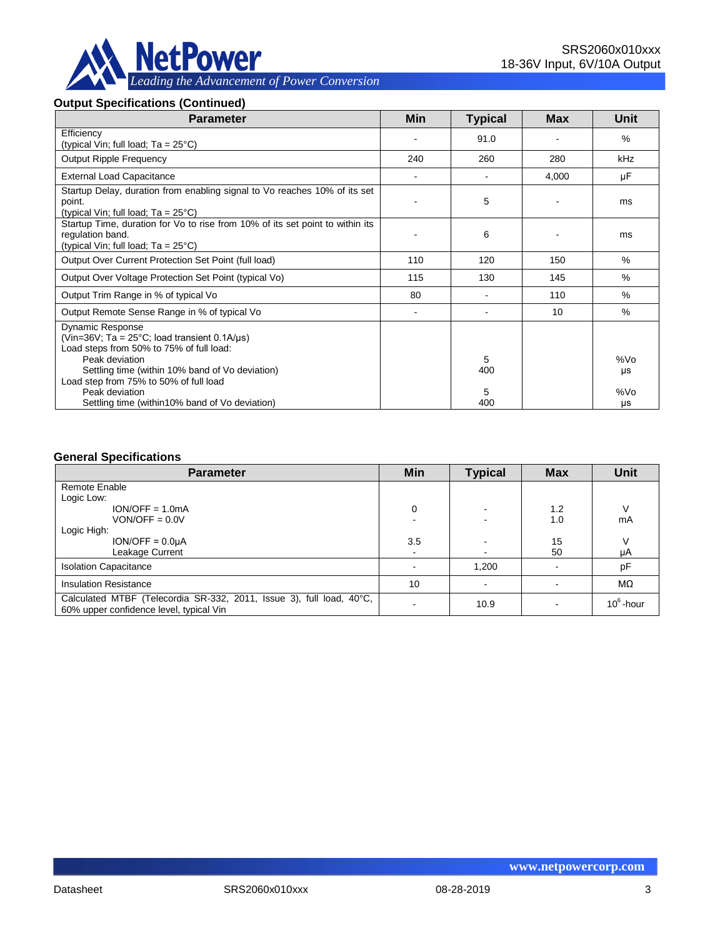

#### **Output Specifications (Continued)**

| <b>Parameter</b>                                                                                                                                                                                                                                                     | Min                      | <b>Typical</b> | Max   | <b>Unit</b>      |
|----------------------------------------------------------------------------------------------------------------------------------------------------------------------------------------------------------------------------------------------------------------------|--------------------------|----------------|-------|------------------|
| Efficiency<br>(typical Vin; full load; $Ta = 25^{\circ}C$ )                                                                                                                                                                                                          |                          | 91.0           |       | $\%$             |
| <b>Output Ripple Frequency</b>                                                                                                                                                                                                                                       | 240                      | 260            | 280   | kHz              |
| <b>External Load Capacitance</b>                                                                                                                                                                                                                                     | $\overline{\phantom{a}}$ |                | 4,000 | μF               |
| Startup Delay, duration from enabling signal to Vo reaches 10% of its set<br>point.<br>(typical Vin; full load; $Ta = 25^{\circ}C$ )                                                                                                                                 |                          | 5              |       | ms               |
| Startup Time, duration for Vo to rise from 10% of its set point to within its<br>regulation band.<br>(typical Vin; full load; Ta = 25°C)                                                                                                                             |                          | 6              |       | ms               |
| Output Over Current Protection Set Point (full load)                                                                                                                                                                                                                 | 110                      | 120            | 150   | $\%$             |
| Output Over Voltage Protection Set Point (typical Vo)                                                                                                                                                                                                                | 115                      | 130            | 145   | %                |
| Output Trim Range in % of typical Vo                                                                                                                                                                                                                                 | 80                       |                | 110   | $\%$             |
| Output Remote Sense Range in % of typical Vo                                                                                                                                                                                                                         | $\overline{\phantom{a}}$ |                | 10    | %                |
| <b>Dynamic Response</b><br>(Vin=36V; Ta = $25^{\circ}$ C; load transient 0.1A/ $\mu$ s)<br>Load steps from 50% to 75% of full load:<br>Peak deviation<br>Settling time (within 10% band of Vo deviation)<br>Load step from 75% to 50% of full load<br>Peak deviation |                          | 5<br>400<br>5  |       | %Vo<br>μs<br>%Vo |
| Settling time (within 10% band of Vo deviation)                                                                                                                                                                                                                      |                          | 400            |       | μs               |

#### **General Specifications**

| <b>Parameter</b>                                                                                                | Min | <b>Typical</b>           | <b>Max</b> | <b>Unit</b>  |
|-----------------------------------------------------------------------------------------------------------------|-----|--------------------------|------------|--------------|
| Remote Enable                                                                                                   |     |                          |            |              |
| Logic Low:                                                                                                      |     |                          |            |              |
| $ION/OFF = 1.0mA$                                                                                               | 0   | $\overline{\phantom{a}}$ | 1.2        |              |
| $VON/OFF = 0.0V$                                                                                                |     |                          | 1.0        | mA           |
| Logic High:                                                                                                     |     |                          |            |              |
| $ION/OFF = 0.0UA$                                                                                               | 3.5 |                          | 15         |              |
| Leakage Current                                                                                                 | ۰   | $\blacksquare$           | 50         | μA           |
| <b>Isolation Capacitance</b>                                                                                    |     | 1,200                    |            | pF           |
| <b>Insulation Resistance</b>                                                                                    | 10  |                          |            | $M\Omega$    |
| Calculated MTBF (Telecordia SR-332, 2011, Issue 3), full load, 40°C,<br>60% upper confidence level, typical Vin |     | 10.9                     |            | $10^6$ -hour |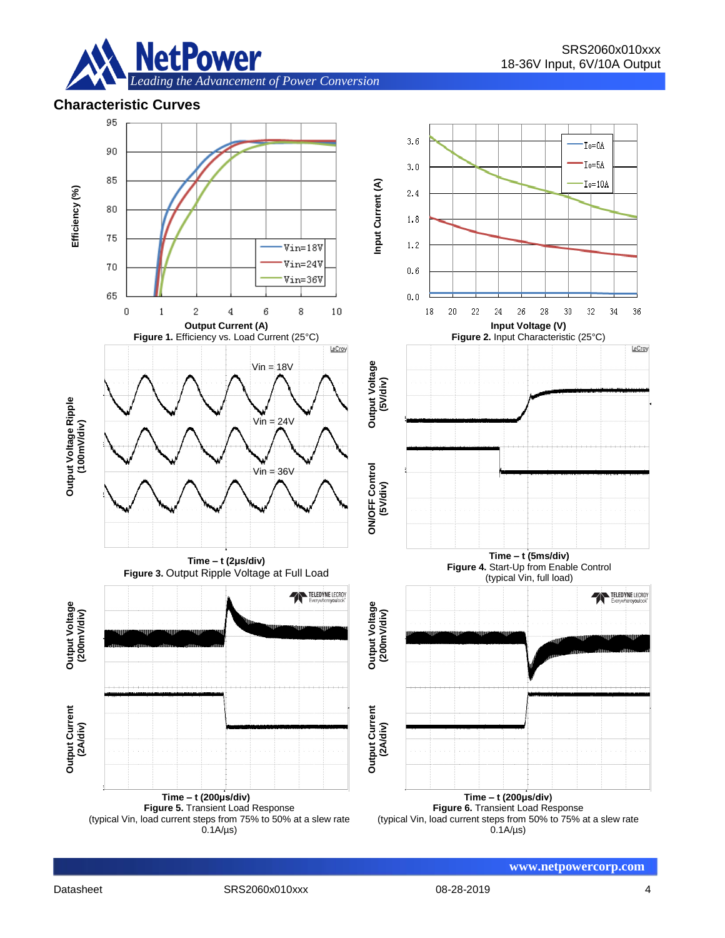

## **Characteristic Curves**

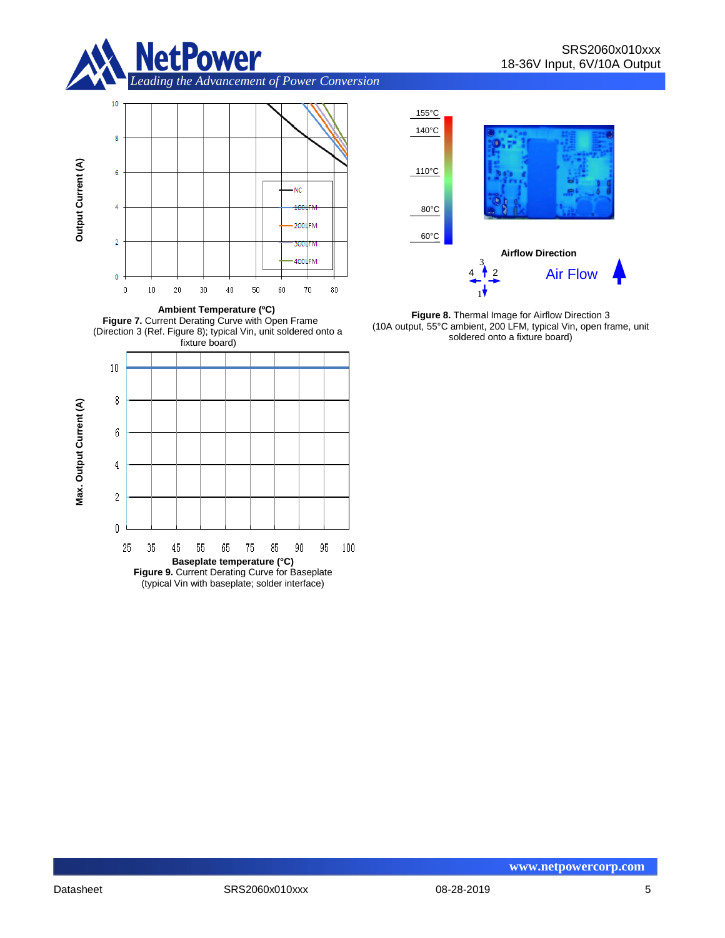

*Leading the Advancement of Power Conversion* 









**Figure 8.** Thermal Image for Airflow Direction 3 (10A output, 55°C ambient, 200 LFM, typical Vin, open frame, unit soldered onto a fixture board)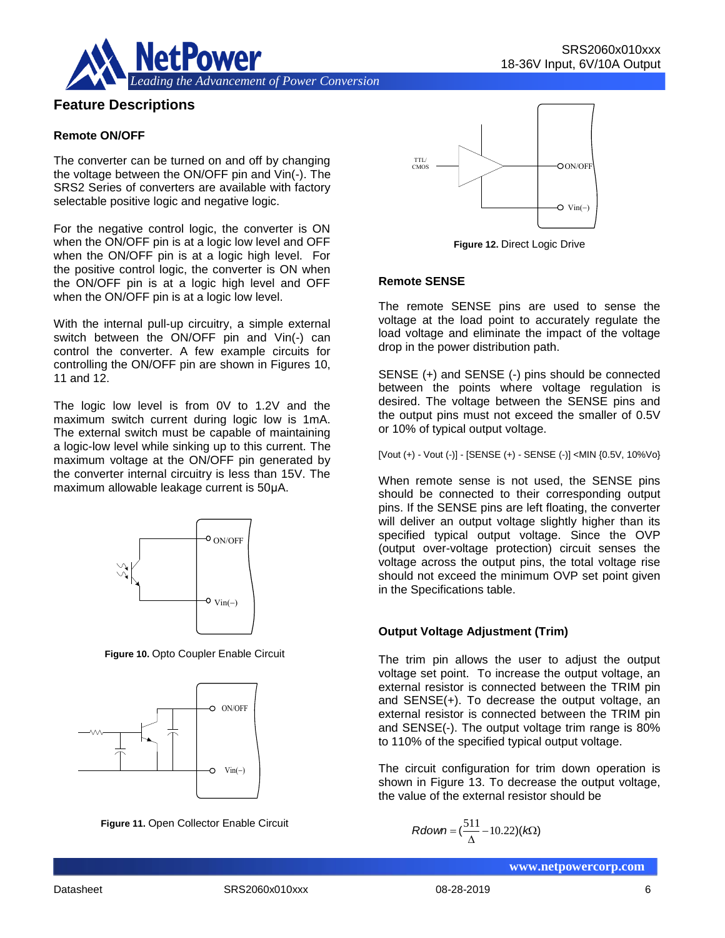

## **Feature Descriptions**

#### **Remote ON/OFF**

The converter can be turned on and off by changing the voltage between the ON/OFF pin and Vin(-). The SRS2 Series of converters are available with factory selectable positive logic and negative logic.

For the negative control logic, the converter is ON when the ON/OFF pin is at a logic low level and OFF when the ON/OFF pin is at a logic high level. For the positive control logic, the converter is ON when the ON/OFF pin is at a logic high level and OFF when the ON/OFF pin is at a logic low level.

With the internal pull-up circuitry, a simple external switch between the ON/OFF pin and Vin(-) can control the converter. A few example circuits for controlling the ON/OFF pin are shown in Figures 10, 11 and 12.

The logic low level is from 0V to 1.2V and the maximum switch current during logic low is 1mA. The external switch must be capable of maintaining a logic-low level while sinking up to this current. The maximum voltage at the ON/OFF pin generated by the converter internal circuitry is less than 15V. The maximum allowable leakage current is 50μA.



**Figure 10.** Opto Coupler Enable Circuit



**Figure 11.** Open Collector Enable Circuit



**Figure 12.** Direct Logic Drive

#### **Remote SENSE**

The remote SENSE pins are used to sense the voltage at the load point to accurately regulate the load voltage and eliminate the impact of the voltage drop in the power distribution path.

SENSE (+) and SENSE (-) pins should be connected between the points where voltage regulation is desired. The voltage between the SENSE pins and the output pins must not exceed the smaller of 0.5V or 10% of typical output voltage.

[Vout (+) - Vout (-)] - [SENSE (+) - SENSE (-)] <MIN {0.5V, 10%Vo}

When remote sense is not used, the SENSE pins should be connected to their corresponding output pins. If the SENSE pins are left floating, the converter will deliver an output voltage slightly higher than its specified typical output voltage. Since the OVP (output over-voltage protection) circuit senses the voltage across the output pins, the total voltage rise should not exceed the minimum OVP set point given in the Specifications table.

#### **Output Voltage Adjustment (Trim)**

The trim pin allows the user to adjust the output voltage set point. To increase the output voltage, an external resistor is connected between the TRIM pin and SENSE(+). To decrease the output voltage, an external resistor is connected between the TRIM pin and SENSE(-). The output voltage trim range is 80% to 110% of the specified typical output voltage. ON/OFF<br>
(output over-voltage across the<br>
should not exceed<br>  $\overline{v}_{\text{in}(-)}$ <br>  $\overline{v}_{\text{in}(-)}$ <br>  $\overline{v}_{\text{in}(-)}$ <br>  $\overline{v}_{\text{in}(-)}$ <br>  $\overline{v}_{\text{in}(-)}$ <br>  $\overline{v}_{\text{in}(-)}$ <br>  $\overline{v}_{\text{in}(-)}$ <br>  $\overline{v}_{\text{in}(-)}$ <br>  $\overline{v}_{\text{in}(-)}$ <br>  $\overline{v}_{\$ 

The circuit configuration for trim down operation is shown in Figure 13. To decrease the output voltage, the value of the external resistor should be

$$
Rdown = (\frac{511}{\Delta} - 10.22)(k\Omega)
$$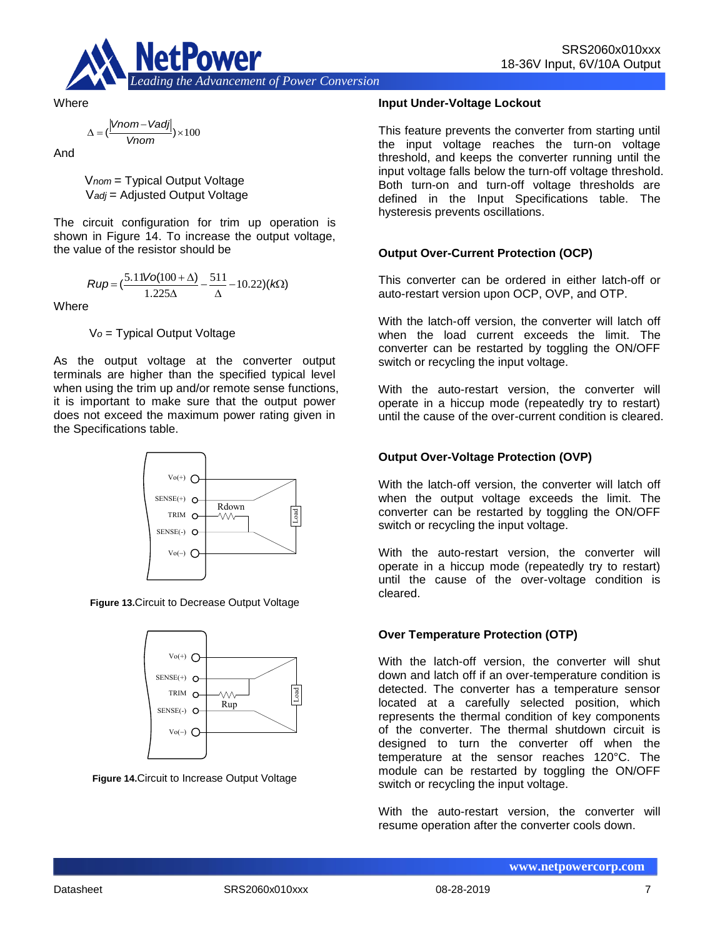

**Where** 

$$
\Delta = (\frac{|Vnom - Vadj|}{Vnom}) \times 100
$$

And

V*nom* = Typical Output Voltage V*adj* = Adjusted Output Voltage

The circuit configuration for trim up operation is shown in Figure 14. To increase the output voltage, the value of the resistor should be

$$
Rup = \left(\frac{5.11\text{Vol}(100 + \Delta)}{1.225\Delta} - \frac{511}{\Delta} - 10.22\right)(k\Omega)
$$

**Where** 

V*o* = Typical Output Voltage

As the output voltage at the converter output terminals are higher than the specified typical level when using the trim up and/or remote sense functions, it is important to make sure that the output power does not exceed the maximum power rating given in the Specifications table.



**Figure 13.**Circuit to Decrease Output Voltage



**Figure 14.**Circuit to Increase Output Voltage

#### **Input Under-Voltage Lockout**

This feature prevents the converter from starting until the input voltage reaches the turn-on voltage threshold, and keeps the converter running until the input voltage falls below the turn-off voltage threshold. Both turn-on and turn-off voltage thresholds are defined in the Input Specifications table. The hysteresis prevents oscillations.

#### **Output Over-Current Protection (OCP)**

This converter can be ordered in either latch-off or auto-restart version upon OCP, OVP, and OTP.

With the latch-off version, the converter will latch off when the load current exceeds the limit. The converter can be restarted by toggling the ON/OFF switch or recycling the input voltage.

With the auto-restart version, the converter will operate in a hiccup mode (repeatedly try to restart) until the cause of the over-current condition is cleared.

#### **Output Over-Voltage Protection (OVP)**

With the latch-off version, the converter will latch off when the output voltage exceeds the limit. The converter can be restarted by toggling the ON/OFF switch or recycling the input voltage.

With the auto-restart version, the converter will operate in a hiccup mode (repeatedly try to restart) until the cause of the over-voltage condition is cleared.

#### **Over Temperature Protection (OTP)**

With the latch-off version, the converter will shut down and latch off if an over-temperature condition is detected. The converter has a temperature sensor located at a carefully selected position, which represents the thermal condition of key components of the converter. The thermal shutdown circuit is designed to turn the converter off when the temperature at the sensor reaches 120°C. The module can be restarted by toggling the ON/OFF switch or recycling the input voltage.

With the auto-restart version, the converter will resume operation after the converter cools down.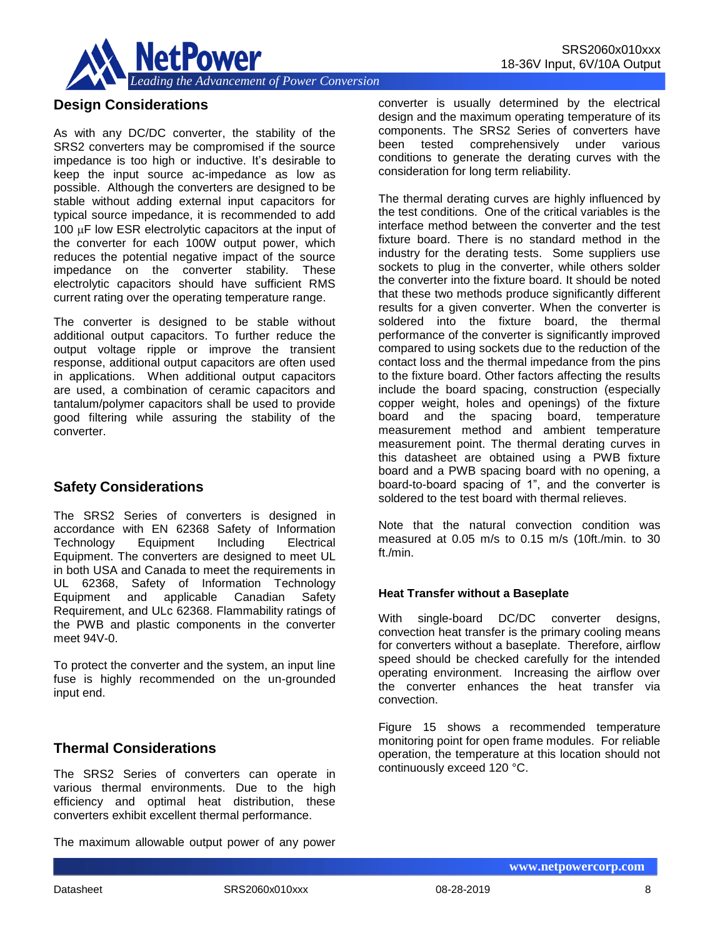

## **Design Considerations**

As with any DC/DC converter, the stability of the SRS2 converters may be compromised if the source impedance is too high or inductive. It's desirable to keep the input source ac-impedance as low as possible. Although the converters are designed to be stable without adding external input capacitors for typical source impedance, it is recommended to add 100  $\mu$ F low ESR electrolytic capacitors at the input of the converter for each 100W output power, which reduces the potential negative impact of the source impedance on the converter stability. These electrolytic capacitors should have sufficient RMS current rating over the operating temperature range.

The converter is designed to be stable without additional output capacitors. To further reduce the output voltage ripple or improve the transient response, additional output capacitors are often used in applications. When additional output capacitors are used, a combination of ceramic capacitors and tantalum/polymer capacitors shall be used to provide good filtering while assuring the stability of the converter.

### **Safety Considerations**

The SRS2 Series of converters is designed in accordance with EN 62368 Safety of Information Technology Equipment Including Electrical Equipment. The converters are designed to meet UL in both USA and Canada to meet the requirements in UL 62368, Safety of Information Technology Equipment and applicable Canadian Safety Requirement, and ULc 62368. Flammability ratings of the PWB and plastic components in the converter meet 94V-0.

To protect the converter and the system, an input line fuse is highly recommended on the un-grounded input end.

## **Thermal Considerations**

The SRS2 Series of converters can operate in various thermal environments. Due to the high efficiency and optimal heat distribution, these converters exhibit excellent thermal performance.

The maximum allowable output power of any power

converter is usually determined by the electrical design and the maximum operating temperature of its components. The SRS2 Series of converters have been tested comprehensively under various conditions to generate the derating curves with the consideration for long term reliability.

The thermal derating curves are highly influenced by the test conditions. One of the critical variables is the interface method between the converter and the test fixture board. There is no standard method in the industry for the derating tests. Some suppliers use sockets to plug in the converter, while others solder the converter into the fixture board. It should be noted that these two methods produce significantly different results for a given converter. When the converter is soldered into the fixture board, the thermal performance of the converter is significantly improved compared to using sockets due to the reduction of the contact loss and the thermal impedance from the pins to the fixture board. Other factors affecting the results include the board spacing, construction (especially copper weight, holes and openings) of the fixture board and the spacing board, temperature measurement method and ambient temperature measurement point. The thermal derating curves in this datasheet are obtained using a PWB fixture board and a PWB spacing board with no opening, a board-to-board spacing of 1", and the converter is soldered to the test board with thermal relieves.

Note that the natural convection condition was measured at 0.05 m/s to 0.15 m/s (10ft./min. to 30 ft./min.

#### **Heat Transfer without a Baseplate**

With single-board DC/DC converter designs, convection heat transfer is the primary cooling means for converters without a baseplate. Therefore, airflow speed should be checked carefully for the intended operating environment. Increasing the airflow over the converter enhances the heat transfer via convection.

Figure 15 shows a recommended temperature monitoring point for open frame modules. For reliable operation, the temperature at this location should not continuously exceed 120 °C.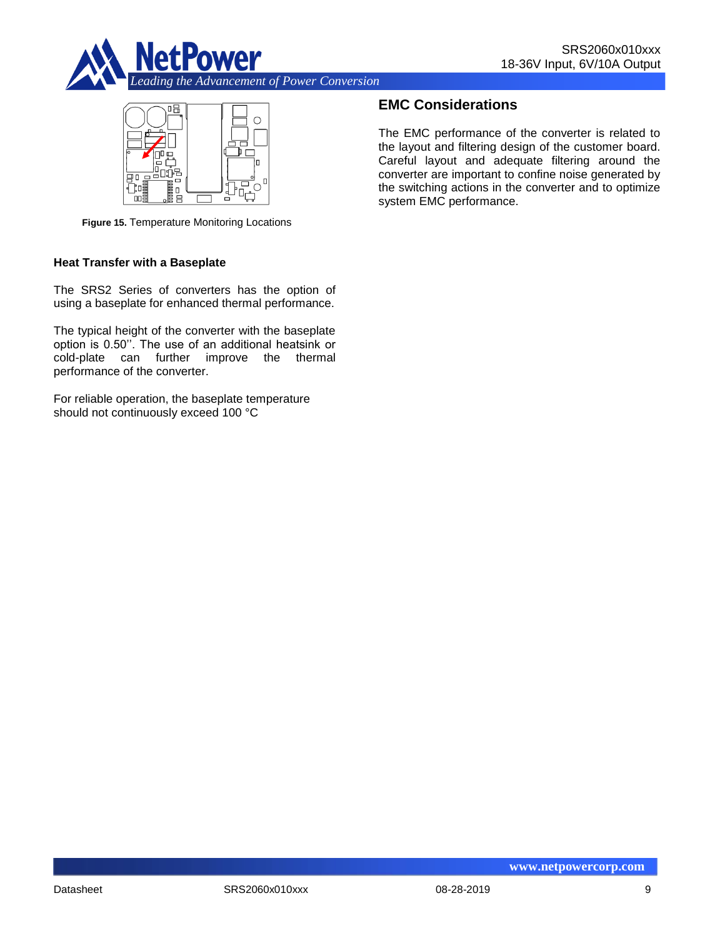



**Figure 15.** Temperature Monitoring Locations

#### **Heat Transfer with a Baseplate**

The SRS2 Series of converters has the option of using a baseplate for enhanced thermal performance.

The typical height of the converter with the baseplate option is 0.50''. The use of an additional heatsink or cold-plate can further improve the thermal performance of the converter.

For reliable operation, the baseplate temperature should not continuously exceed 100 °C

## **EMC Considerations**

The EMC performance of the converter is related to the layout and filtering design of the customer board. Careful layout and adequate filtering around the converter are important to confine noise generated by the switching actions in the converter and to optimize system EMC performance.